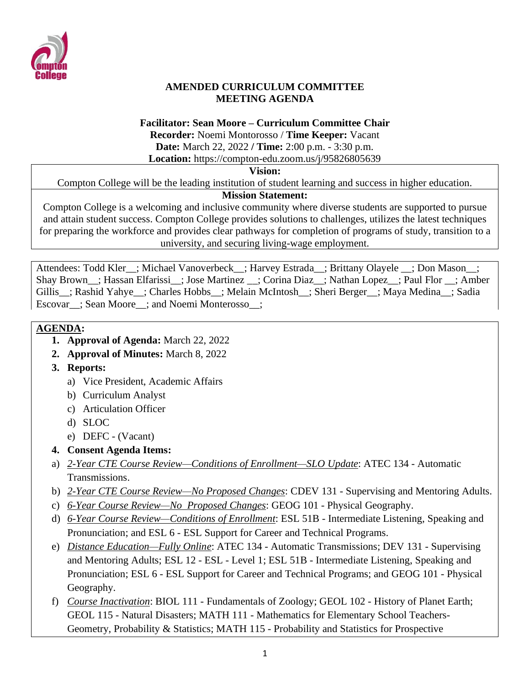

#### **AMENDED CURRICULUM COMMITTEE MEETING AGENDA**

#### **Facilitator: Sean Moore – Curriculum Committee Chair**

**Recorder:** Noemi Montorosso / **Time Keeper:** Vacant **Date:** March 22, 2022 **/ Time:** 2:00 p.m. - 3:30 p.m. **Location:** https://compton-edu.zoom.us/j/95826805639

#### **Vision:**

Compton College will be the leading institution of student learning and success in higher education.

## **Mission Statement:**

Compton College is a welcoming and inclusive community where diverse students are supported to pursue and attain student success. Compton College provides solutions to challenges, utilizes the latest techniques for preparing the workforce and provides clear pathways for completion of programs of study, transition to a university, and securing living-wage employment.

Attendees: Todd Kler ; Michael Vanoverbeck ; Harvey Estrada ; Brittany Olayele ; Don Mason ; Shay Brown\_\_; Hassan Elfarissi\_\_; Jose Martinez \_\_; Corina Diaz\_\_; Nathan Lopez\_\_; Paul Flor \_\_; Amber Gillis : Rashid Yahye : Charles Hobbs : Melain McIntosh : Sheri Berger : Maya Medina : Sadia Escovar\_\_; Sean Moore\_\_; and Noemi Monterosso\_\_;

## **AGENDA:**

- **1. Approval of Agenda:** March 22, 2022
- **2. Approval of Minutes:** March 8, 2022
- **3. Reports:** 
	- a) Vice President, Academic Affairs
	- b) Curriculum Analyst
	- c) Articulation Officer
	- d) SLOC
	- e) DEFC (Vacant)
- **4. Consent Agenda Items:**
- a) *2-Year CTE Course Review—Conditions of Enrollment—SLO Update*: ATEC 134 Automatic Transmissions.
- b) *2-Year CTE Course Review—No Proposed Changes*: CDEV 131 Supervising and Mentoring Adults.
- c) *6-Year Course Review—No Proposed Changes*: GEOG 101 Physical Geography.
- d) *6-Year Course Review—Conditions of Enrollment*: ESL 51B Intermediate Listening, Speaking and Pronunciation; and ESL 6 - ESL Support for Career and Technical Programs.
- e) *Distance Education—Fully Online*: ATEC 134 Automatic Transmissions; DEV 131 Supervising and Mentoring Adults; ESL 12 - ESL - Level 1; ESL 51B - Intermediate Listening, Speaking and Pronunciation; ESL 6 - ESL Support for Career and Technical Programs; and GEOG 101 - Physical Geography.
- f) *Course Inactivation*: BIOL 111 Fundamentals of Zoology; GEOL 102 History of Planet Earth; GEOL 115 - Natural Disasters; MATH 111 - Mathematics for Elementary School Teachers-Geometry, Probability & Statistics; MATH 115 - Probability and Statistics for Prospective